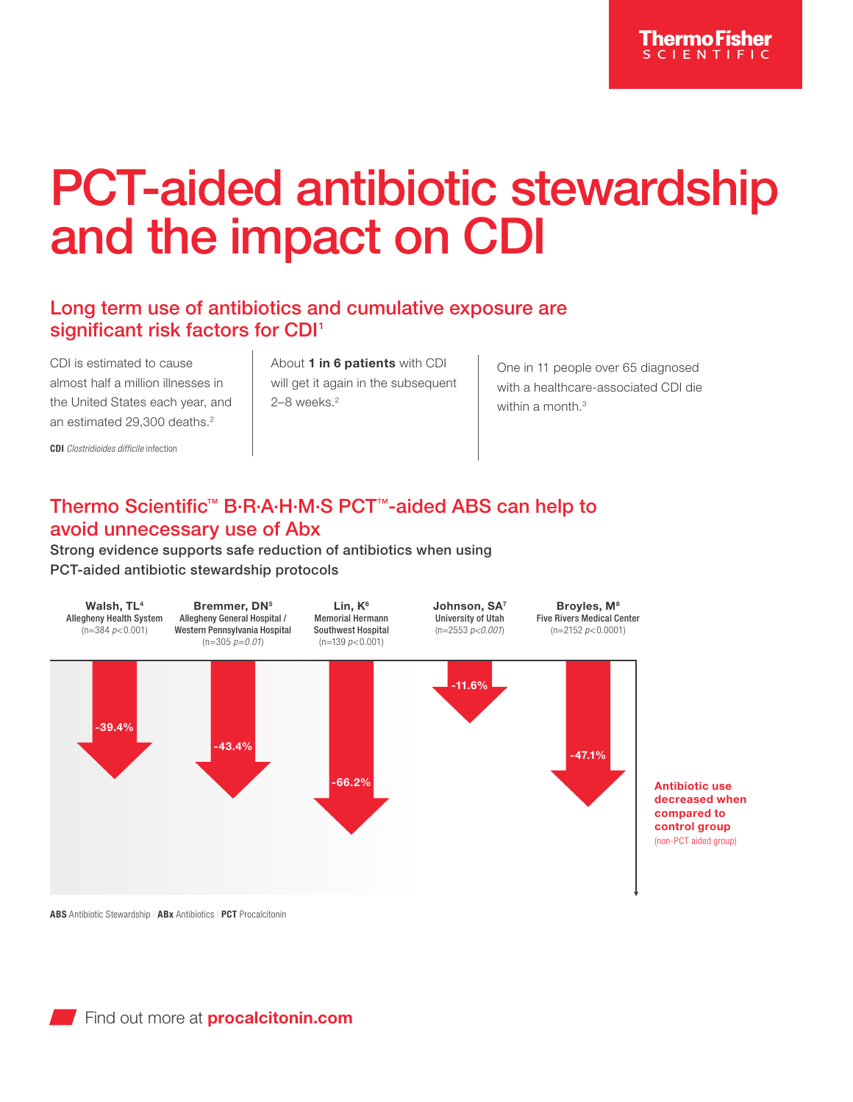# PCT-aided antibiotic stewardship and the impact on CDI

#### Long term use of antibiotics and cumulative exposure are significant risk factors for CDI<sup>1</sup>

CDI is estimated to cause almost half a million illnesses in the United States each year, and an estimated 29,300 deaths.<sup>2</sup>

About 1 in 6 patients with CDI will get it again in the subsequent  $2-8$  weeks. $2$ 

One in 11 people over 65 diagnosed with a healthcare-associated CDI die within a month.<sup>3</sup>

#### CDI *Clostridioides difficile* infection

## Thermo Scientific™ B·R·A·H·M·S PCT™-aided ABS can help to avoid unnecessary use of Abx

Strong evidence supports safe reduction of antibiotics when using PCT-aided antibiotic stewardship protocols



ABS Antibiotic Stewardship | ABx Antibiotics | PCT Procalcitonin